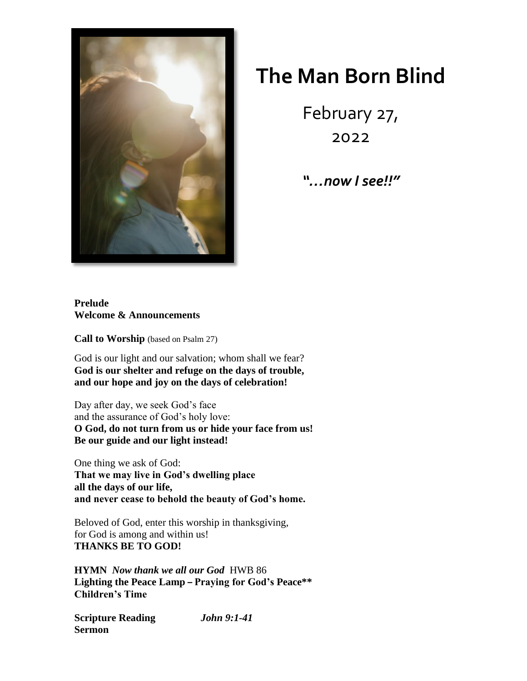

## **The Man Born Blind**

February 27, 2022

*"…now I see!!"*

## **Prelude Welcome & Announcements**

**Call to Worship** (based on Psalm 27)

God is our light and our salvation; whom shall we fear? **God is our shelter and refuge on the days of trouble, and our hope and joy on the days of celebration!**

Day after day, we seek God's face and the assurance of God's holy love: **O God, do not turn from us or hide your face from us! Be our guide and our light instead!**

One thing we ask of God: **That we may live in God's dwelling place all the days of our life, and never cease to behold the beauty of God's home.**

Beloved of God, enter this worship in thanksgiving, for God is among and within us! **THANKS BE TO GOD!**

**HYMN** *Now thank we all our God* HWB 86 **Lighting the Peace Lamp – Praying for God's Peace\*\* Children's Time**

**Scripture Reading** *John 9:1-41* **Sermon**